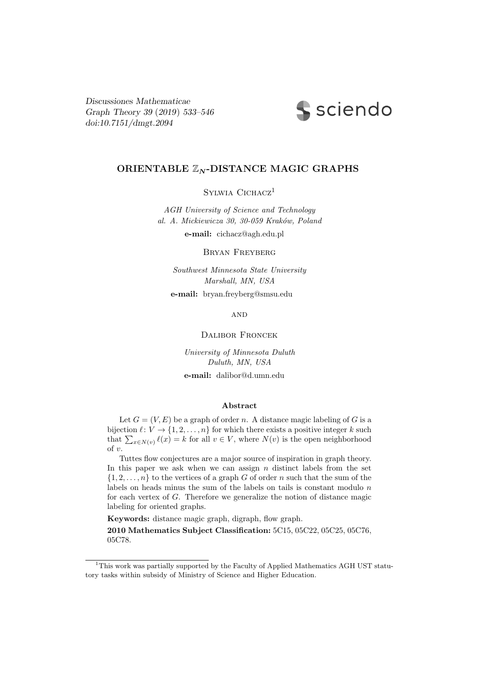Discussiones Mathematicae Graph Theory 39 (2019) 533–546 [doi:10.7151/dmgt.2094](http://dx.doi.org/10.7151/dmgt.2094)



# ORIENTABLE  $\mathbb{Z}_N$ -DISTANCE MAGIC GRAPHS

SYLWIA CICHACZ<sup>1</sup>

*AGH University of Science and Technology al. A. Mickiewicza 30, 30-059 Krak´ow, Poland*

e-mail: cichacz@agh.edu.pl

Bryan Freyberg

*Southwest Minnesota State University Marshall, MN, USA*

e-mail: bryan.freyberg@smsu.edu

**AND** 

# Dalibor Froncek

*University of Minnesota Duluth Duluth, MN, USA*

e-mail: dalibor@d.umn.edu

### Abstract

Let  $G = (V, E)$  be a graph of order n. A distance magic labeling of G is a bijection  $\ell: V \to \{1, 2, ..., n\}$  for which there exists a positive integer k such that  $\sum_{x \in N(v)} \ell(x) = k$  for all  $v \in V$ , where  $N(v)$  is the open neighborhood of v.

Tuttes flow conjectures are a major source of inspiration in graph theory. In this paper we ask when we can assign  $n$  distinct labels from the set  $\{1, 2, \ldots, n\}$  to the vertices of a graph G of order n such that the sum of the labels on heads minus the sum of the labels on tails is constant modulo  $n$ for each vertex of G. Therefore we generalize the notion of distance magic labeling for oriented graphs.

Keywords: distance magic graph, digraph, flow graph.

2010 Mathematics Subject Classification: 5C15, 05C22, 05C25, 05C76, 05C78.

<sup>&</sup>lt;sup>1</sup>This work was partially supported by the Faculty of Applied Mathematics AGH UST statutory tasks within subsidy of Ministry of Science and Higher Education.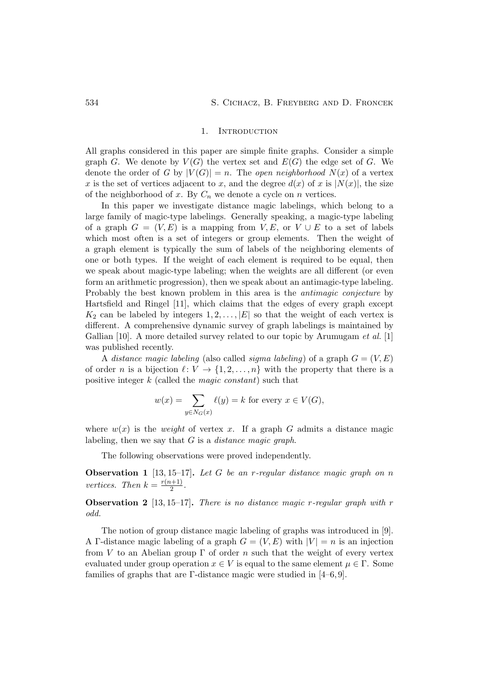### 1. INTRODUCTION

All graphs considered in this paper are simple finite graphs. Consider a simple graph G. We denote by  $V(G)$  the vertex set and  $E(G)$  the edge set of G. We denote the order of *G* by  $|V(G)| = n$ . The *open neighborhood*  $N(x)$  of a vertex x is the set of vertices adjacent to x, and the degree  $d(x)$  of x is  $|N(x)|$ , the size of the neighborhood of x. By  $C_n$  we denote a cycle on n vertices.

In this paper we investigate distance magic labelings, which belong to a large family of magic-type labelings. Generally speaking, a magic-type labeling of a graph  $G = (V, E)$  is a mapping from  $V, E$ , or  $V \cup E$  to a set of labels which most often is a set of integers or group elements. Then the weight of a graph element is typically the sum of labels of the neighboring elements of one or both types. If the weight of each element is required to be equal, then we speak about magic-type labeling; when the weights are all different (or even form an arithmetic progression), then we speak about an antimagic-type labeling. Probably the best known problem in this area is the *antimagic conjecture* by Hartsfield and Ringel [11], which claims that the edges of every graph except  $K_2$  can be labeled by integers  $1, 2, \ldots, |E|$  so that the weight of each vertex is different. A comprehensive dynamic survey of graph labelings is maintained by Gallian [10]. A more detailed survey related to our topic by Arumugam *et al.* [1] was published recently.

A *distance magic labeling* (also called *sigma labeling*) of a graph  $G = (V, E)$ of order n is a bijection  $\ell: V \to \{1, 2, ..., n\}$  with the property that there is a positive integer k (called the *magic constant*) such that

$$
w(x) = \sum_{y \in N_G(x)} \ell(y) = k
$$
 for every  $x \in V(G)$ ,

where  $w(x)$  is the *weight* of vertex x. If a graph G admits a distance magic labeling, then we say that G is a *distance magic graph*.

The following observations were proved independently.

Observation 1 [13, 15–17]. *Let* G *be an* r*-regular distance magic graph on* n *vertices.* Then  $k = \frac{r(n+1)}{2}$  $\frac{(n+1)}{2}$ .

Observation 2 [13, 15–17]. *There is no distance magic* r*-regular graph with* r *odd.*

The notion of group distance magic labeling of graphs was introduced in [9]. A Γ-distance magic labeling of a graph  $G = (V, E)$  with  $|V| = n$  is an injection from V to an Abelian group  $\Gamma$  of order n such that the weight of every vertex evaluated under group operation  $x \in V$  is equal to the same element  $\mu \in \Gamma$ . Some families of graphs that are Γ-distance magic were studied in  $[4–6, 9]$ .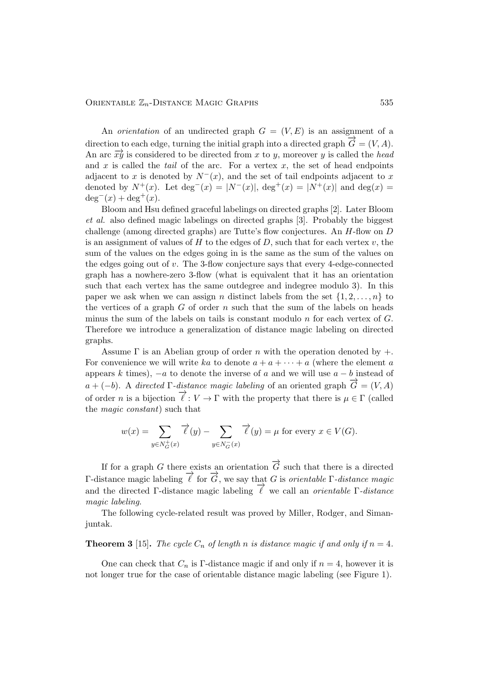# ORIENTABLE  $\mathbb{Z}_n$ -DISTANCE MAGIC GRAPHS 535

An *orientation* of an undirected graph  $G = (V, E)$  is an assignment of a direction to each edge, turning the initial graph into a directed graph  $\overline{G} = (V, A)$ . An arc  $\overrightarrow{xy}$  is considered to be directed from x to y, moreover y is called the *head* and  $x$  is called the *tail* of the arc. For a vertex  $x$ , the set of head endpoints adjacent to x is denoted by  $N<sup>-</sup>(x)$ , and the set of tail endpoints adjacent to x denoted by  $N^+(x)$ . Let  $\deg^{-}(x) = |N^-(x)|$ ,  $\deg^{+}(x) = |N^+(x)|$  and  $\deg(x) =$  $deg^{-}(x) + deg^{+}(x)$ .

Bloom and Hsu defined graceful labelings on directed graphs [2]. Later Bloom *et al.* also defined magic labelings on directed graphs [3]. Probably the biggest challenge (among directed graphs) are Tutte's flow conjectures. An H-flow on D is an assignment of values of H to the edges of D, such that for each vertex  $v$ , the sum of the values on the edges going in is the same as the sum of the values on the edges going out of v. The 3-flow conjecture says that every 4-edge-connected graph has a nowhere-zero 3-flow (what is equivalent that it has an orientation such that each vertex has the same outdegree and indegree modulo 3). In this paper we ask when we can assign n distinct labels from the set  $\{1, 2, \ldots, n\}$  to the vertices of a graph  $G$  of order  $n$  such that the sum of the labels on heads minus the sum of the labels on tails is constant modulo  $n$  for each vertex of  $G$ . Therefore we introduce a generalization of distance magic labeling on directed graphs.

Assume  $\Gamma$  is an Abelian group of order n with the operation denoted by  $+$ . For convenience we will write ka to denote  $a + a + \cdots + a$  (where the element a appears k times),  $-a$  to denote the inverse of a and we will use  $a - b$  instead of a + (-b). A *directed*  $\Gamma$ -distance magic labeling of an oriented graph  $\overrightarrow{G} = (V, A)$ of order n is a bijection  $\overrightarrow{\ell}: V \to \Gamma$  with the property that there is  $\mu \in \Gamma$  (called the *magic constant*) such that

$$
w(x) = \sum_{y \in N_G^+(x)} \overrightarrow{\ell}(y) - \sum_{y \in N_G^-(x)} \overrightarrow{\ell}(y) = \mu \text{ for every } x \in V(G).
$$

If for a graph G there exists an orientation  $\overrightarrow{G}$  such that there is a directed  $Γ$ -distance magic labeling  $\vec{l}$  for  $\vec{G}$ , we say that *G* is *orientable* Γ*-distance magic* and the directed Γ-distance magic labeling  $\vec{\ell}$  we call an *orientable* Γ-*distance magic labeling*.

The following cycle-related result was proved by Miller, Rodger, and Simanjuntak.

# **Theorem 3** [15]. *The cycle*  $C_n$  *of length n is distance magic if and only if*  $n = 4$ *.*

One can check that  $C_n$  is Γ-distance magic if and only if  $n = 4$ , however it is not longer true for the case of orientable distance magic labeling (see Figure 1).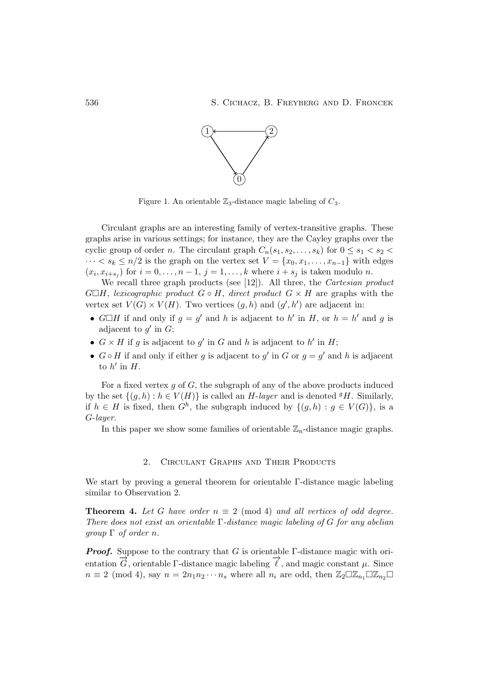

Figure 1. An orientable  $\mathbb{Z}_3$ -distance magic labeling of  $C_3$ .

Circulant graphs are an interesting family of vertex-transitive graphs. These graphs arise in various settings; for instance, they are the Cayley graphs over the cyclic group of order n. The circulant graph  $C_n(s_1, s_2, \ldots, s_k)$  for  $0 \le s_1 < s_2$  $\cdots < s_k \leq n/2$  is the graph on the vertex set  $V = \{x_0, x_1, \ldots, x_{n-1}\}$  with edges  $(x_i, x_{i+s_j})$  for  $i = 0, \ldots, n-1, j = 1, \ldots, k$  where  $i + s_j$  is taken modulo n.

We recall three graph products (see [12]). All three, the *Cartesian product*  $G\Box H$ , *lexicographic product*  $G \circ H$ , *direct product*  $G \times H$  are graphs with the vertex set  $V(G) \times V(H)$ . Two vertices  $(g, h)$  and  $(g', h')$  are adjacent in:

- $G \square H$  if and only if  $g = g'$  and h is adjacent to h' in H, or  $h = h'$  and g is adjacent to  $g'$  in  $G$ ;
- $G \times H$  if g is adjacent to g' in G and h is adjacent to h' in H;
- $G \circ H$  if and only if either g is adjacent to g' in G or  $g = g'$  and h is adjacent to  $h'$  in  $H$ .

For a fixed vertex  $g$  of  $G$ , the subgraph of any of the above products induced by the set  $\{(q, h): h \in V(H)\}$  is called an H-layer and is denoted <sup>g</sup>H. Similarly, if  $h \in H$  is fixed, then  $G^h$ , the subgraph induced by  $\{(g,h) : g \in V(G)\}\)$ , is a G-*layer*.

In this paper we show some families of orientable  $\mathbb{Z}_n$ -distance magic graphs.

# 2. Circulant Graphs and Their Products

We start by proving a general theorem for orientable Γ-distance magic labeling similar to Observation 2.

**Theorem 4.** Let G have order  $n \equiv 2 \pmod{4}$  and all vertices of odd degree. *There does not exist an orientable* Γ*-distance magic labeling of* G *for any abelian group* Γ *of order* n*.*

**Proof.** Suppose to the contrary that G is orientable  $\Gamma$ -distance magic with orientation  $\overrightarrow{G}$ , orientable Γ-distance magic labeling  $\overrightarrow{\ell}$ , and magic constant  $\mu$ . Since  $n \equiv 2 \pmod{4}$ , say  $n = 2n_1n_2\cdots n_s$  where all  $n_i$  are odd, then  $\mathbb{Z}_2\square\mathbb{Z}_{n_1}\square\mathbb{Z}_{n_2}\square$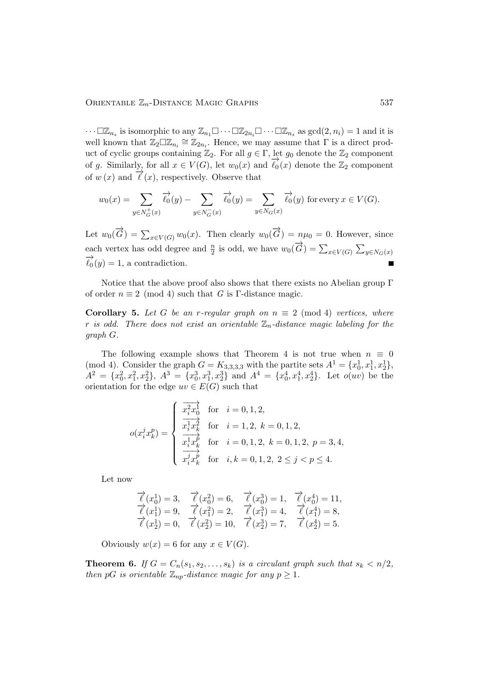$\cdots \Box \mathbb{Z}_{n_s}$  is isomorphic to any  $\mathbb{Z}_{n_1} \Box \cdots \Box \mathbb{Z}_{n_i} \Box \cdots \Box \mathbb{Z}_{n_s}$  as  $gcd(2, n_i) = 1$  and it is well known that  $\mathbb{Z}_2\square\mathbb{Z}_{n_i}\cong\mathbb{Z}_{2n_i}$ . Hence, we may assume that  $\Gamma$  is a direct product of cyclic groups containing  $\mathbb{Z}_2$ . For all  $g \in \Gamma$ , let  $g_0$  denote the  $\mathbb{Z}_2$  component of g. Similarly, for all  $x \in V(G)$ , let  $w_0(x)$  and  $\overrightarrow{\ell_0}(x)$  denote the  $\mathbb{Z}_2$  component of  $w(x)$  and  $\overrightarrow{\ell}(x)$ , respectively. Observe that

$$
w_0(x) = \sum_{y \in N_G^+(x)} \overrightarrow{\ell_0}(y) - \sum_{y \in N_G^-(x)} \overrightarrow{\ell_0}(y) = \sum_{y \in N_G(x)} \overrightarrow{\ell_0}(y)
$$
 for every  $x \in V(G)$ .

Let  $w_0(\overrightarrow{G}) = \sum_{x \in V(G)} w_0(x)$ . Then clearly  $w_0(\overrightarrow{G}) = n\mu_0 = 0$ . However, since each vertex has odd degree and  $\frac{n}{2}$  is odd, we have  $w_0(\overrightarrow{G}) = \sum_{x \in V(G)} \sum_{y \in N_G(x)}$  $\overrightarrow{\ell}_{0}(y) = 1$ , a contradiction.

Notice that the above proof also shows that there exists no Abelian group  $\Gamma$ of order  $n \equiv 2 \pmod{4}$  such that *G* is Γ-distance magic.

**Corollary 5.** Let G be an r-regular graph on  $n \equiv 2 \pmod{4}$  vertices, where r *is odd.* There does not exist an orientable  $\mathbb{Z}_n$ -distance magic labeling for the *graph* G*.*

The following example shows that Theorem 4 is not true when  $n \equiv 0$ (mod 4). Consider the graph  $G = K_{3,3,3,3}$  with the partite sets  $A^1 = \{x_0^1, x_1^1, x_2^1\}$ ,  $A^2 = \{x_0^2, x_1^2, x_2^2\}, A^3 = \{x_0^3, x_1^3, x_2^3\}$  and  $A^4 = \{x_0^4, x_1^4, x_2^4\}.$  Let  $o(uv)$  be the orientation for the edge  $uv \in E(G)$  such that

$$
o(x_i^j x_k^p) = \begin{cases} \n\frac{x_i^2 x_0^1}{x_i^1 x_k^2} & \text{for } i = 0, 1, 2, \\
\frac{x_i^1 x_k^2}{x_i^1 x_k^p} & \text{for } i = 0, 1, 2, k = 0, 1, 2, p = 3, 4, \\
\frac{x_i^1 x_k^p}{x_i^j x_k^p} & \text{for } i, k = 0, 1, 2, 2 \le j < p \le 4.\n\end{cases}
$$

Let now

$$
\overrightarrow{\ell}(x_0^1) = 3, \quad \overrightarrow{\ell}(x_0^2) = 6, \quad \overrightarrow{\ell}(x_0^3) = 1, \quad \overrightarrow{\ell}(x_0^4) = 11, \n\overrightarrow{\ell}(x_1^1) = 9, \quad \overrightarrow{\ell}(x_1^2) = 2, \quad \overrightarrow{\ell}(x_1^3) = 4, \quad \overrightarrow{\ell}(x_1^4) = 8, \n\overrightarrow{\ell}(x_2^1) = 0, \quad \overrightarrow{\ell}(x_2^2) = 10, \quad \overrightarrow{\ell}(x_2^3) = 7, \quad \overrightarrow{\ell}(x_2^4) = 5.
$$

Obviously  $w(x) = 6$  for any  $x \in V(G)$ .

**Theorem 6.** *If*  $G = C_n(s_1, s_2, \ldots, s_k)$  *is a circulant graph such that*  $s_k < n/2$ *, then* pG *is orientable*  $\mathbb{Z}_{np}$ *-distance magic for any*  $p \geq 1$ *.*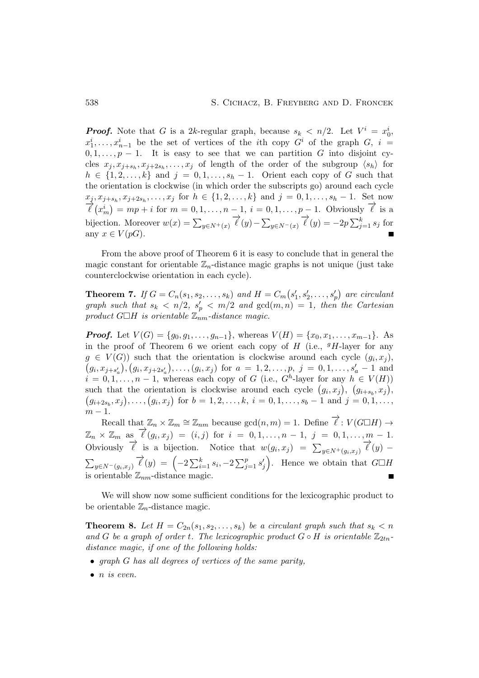**Proof.** Note that G is a 2k-regular graph, because  $s_k < n/2$ . Let  $V^i = x_0^i$ ,  $x_1^i, \ldots, x_{n-1}^i$  be the set of vertices of the *i*th copy  $G^i$  of the graph  $G$ ,  $i =$  $0, 1, \ldots, p-1$ . It is easy to see that we can partition G into disjoint cycles  $x_j, x_{j+s_h}, x_{j+2s_h}, \ldots, x_j$  of length of the order of the subgroup  $\langle s_h \rangle$  for  $h \in \{1, 2, \ldots, k\}$  and  $j = 0, 1, \ldots, s_h - 1$ . Orient each copy of G such that the orientation is clockwise (in which order the subscripts go) around each cycle  $x_j, x_{j+s_h}, x_{j+2s_h}, \ldots, x_j \text{ for } h \in \{1, 2, \ldots, k\} \text{ and } j = 0, 1, \ldots, s_h - 1. \text{ Set now}$  $\overrightarrow{\ell}(x_m^i) = mp + i$  for  $m = 0, 1, ..., n - 1, i = 0, 1, ..., p - 1$ . Obviously  $\overrightarrow{\ell}$  is a bijection. Moreover  $w(x) = \sum_{y \in N^{+}(x)} \vec{\ell}(y) - \sum_{y \in N^{-}(x)} \vec{\ell}(y) = -2p \sum_{j=1}^{k} s_j$  for any  $x \in V(pG)$ .

From the above proof of Theorem 6 it is easy to conclude that in general the magic constant for orientable  $\mathbb{Z}_n$ -distance magic graphs is not unique (just take counterclockwise orientation in each cycle).

**Theorem 7.** *If*  $G = C_n(s_1, s_2, ..., s_k)$  *and*  $H = C_m(s_1)$  $s'_1, s'_2, \ldots, s'_p$  are circulant graph such that  $s_k < n/2$ ,  $s'_p < m/2$  and  $gcd(m,n) = 1$ , then the Cartesian  $\mathit{product} \ G \Box H$  *is orientable*  $\mathbb{Z}_{nm}$ -distance magic.

**Proof.** Let  $V(G) = \{g_0, g_1, \ldots, g_{n-1}\}\$ , whereas  $V(H) = \{x_0, x_1, \ldots, x_{m-1}\}\$ . As in the proof of Theorem 6 we orient each copy of  $H$  (i.e.,  $gH$ -layer for any  $g \in V(G)$  such that the orientation is clockwise around each cycle  $(g_i, x_j)$ ,  $(g_i, x_{j+s'_a}), (g_i, x_{j+2s'_a}), \ldots, (g_i, x_j)$  for  $a = 1, 2, \ldots, p, j = 0, 1, \ldots, s'_a - 1$  and  $i = 0, 1, \ldots, n - 1$ , whereas each copy of G (i.e.,  $G<sup>h</sup>$ -layer for any  $h \in V(H)$ ) such that the orientation is clockwise around each cycle  $(g_i, x_j)$ ,  $(g_{i+s_b}, x_j)$ ,  $(g_{i+2s_b}, x_j), \ldots, (g_i, x_j)$  for  $b = 1, 2, \ldots, k, i = 0, 1, \ldots, s_b - 1$  and  $j = 0, 1, \ldots,$  $m-1$ .

Recall that  $\mathbb{Z}_n \times \mathbb{Z}_m \cong \mathbb{Z}_{nm}$  because  $gcd(n, m) = 1$ . Define  $\overrightarrow{\ell}: V(G \square H) \rightarrow$  $\mathbb{Z}_n \times \mathbb{Z}_m$  as  $\overrightarrow{\ell}(g_i, x_j) = (i, j)$  for  $i = 0, 1, ..., n - 1, j = 0, 1, ..., m - 1$ . Obviously  $\vec{\ell}$  is a bijection. Notice that  $w(g_i, x_j) = \sum_{y \in N^+(g_i, x_j)} \vec{\ell}(y)$  $\sum_{y \in N^-(g_i, x_j)} \overrightarrow{\ell}(y) = \left(-2 \sum_{i=1}^k s_i, -2 \sum_{j=1}^p s'_j\right)$  $\binom{r}{j}$ . Hence we obtain that  $G\Box H$ is orientable  $\mathbb{Z}_{nm}$ -distance magic.

We will show now some sufficient conditions for the lexicographic product to be orientable  $\mathbb{Z}_n$ -distance magic.

**Theorem 8.** Let  $H = C_{2n}(s_1, s_2, \ldots, s_k)$  be a circulant graph such that  $s_k < n$ and G be a graph of order t. The lexicographic product  $G \circ H$  is orientable  $\mathbb{Z}_{2tn}$ *distance magic, if one of the following holds:*

- *graph* G *has all degrees of vertices of the same parity,*
- n *is even.*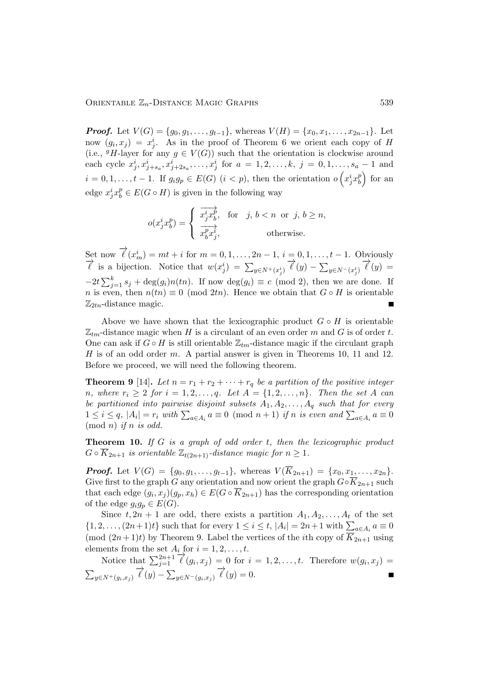**Proof.** Let  $V(G) = \{g_0, g_1, \ldots, g_{t-1}\}\$ , whereas  $V(H) = \{x_0, x_1, \ldots, x_{2n-1}\}\$ . Let now  $(g_i, x_j) = x_j^i$ . As in the proof of Theorem 6 we orient each copy of H (i.e.,  $^gH$ -layer for any  $g \in V(G)$ ) such that the orientation is clockwise around each cycle  $x_j^i, x_{j+s_a}^i, x_{j+2s_a}^i, \ldots, x_j^i$  for  $a = 1, 2, \ldots, k, j = 0, 1, \ldots, s_a - 1$  and  $i = 0, 1, \ldots, t - 1$ . If  $g_i g_p \in E(G)$   $(i < p)$ , then the orientation  $o\left(x_j^i x_b^p\right)$  $\binom{p}{b}$  for an edge  $x_j^i x_b^p \in E(G \circ H)$  is given in the following way

$$
o(x_j^i x_b^p) = \begin{cases} \n\overrightarrow{x_j^i x_b^p}, & \text{for} \quad j, \, b < n \text{ or } j, \, b \ge n, \\ \n\overrightarrow{x_b^p x_j^i}, & \text{otherwise.} \n\end{cases}
$$

Set now  $\overrightarrow{\ell}(x_m^i) = mt + i$  for  $m = 0, 1, ..., 2n - 1$ ,  $i = 0, 1, ..., t - 1$ . Obviously  $\overrightarrow{\ell}$  is a bijection. Notice that  $w(x_j^i) = \sum_{y \in N^+(x_j^i)} \overrightarrow{\ell}(y) - \sum_{y \in N^-(x_j^i)} \overrightarrow{\ell}(y) =$  $-2t\sum_{j=1}^k s_j + \deg(g_i)n(tn)$ . If now  $\deg(g_i) \equiv c \pmod{2}$ , then we are done. If n is even, then  $n(tn) \equiv 0 \pmod{2tn}$ . Hence we obtain that  $G \circ H$  is orientable  $\mathbb{Z}_{2tn}$ -distance magic.

Above we have shown that the lexicographic product  $G \circ H$  is orientable  $\mathbb{Z}_{tm}$ -distance magic when H is a circulant of an even order m and G is of order t. One can ask if  $G \circ H$  is still orientable  $\mathbb{Z}_{tm}$ -distance magic if the circulant graph H is of an odd order m. A partial answer is given in Theorems 10, 11 and 12. Before we proceed, we will need the following theorem.

**Theorem 9** [14]. Let  $n = r_1 + r_2 + \cdots + r_q$  be a partition of the positive integer *n*, where  $r_i \geq 2$  for  $i = 1, 2, ..., q$ . Let  $A = \{1, 2, ..., n\}$ . Then the set A can *be partitioned into pairwise disjoint subsets* A1, A2, . . . , A<sup>q</sup> *such that for every*  $1 \leq i \leq q$ ,  $|A_i| = r_i$  with  $\sum_{a \in A_i} a \equiv 0 \pmod{n+1}$  *if n is even and*  $\sum_{a \in A_i} a \equiv 0$  $(mod n)$  *if* n *is odd.* 

Theorem 10. *If* G *is a graph of odd order* t*, then the lexicographic product*  $G \circ \overline{K}_{2n+1}$  *is orientable*  $\mathbb{Z}_{t(2n+1)}$ *-distance magic for*  $n \geq 1$ *.* 

**Proof.** Let  $V(G) = \{q_0, q_1, \ldots, q_{t-1}\}\$ , whereas  $V(\overline{K}_{2n+1}) = \{x_0, x_1, \ldots, x_{2n}\}\$ . Give first to the graph G any orientation and now orient the graph  $G \circ \overline{K}_{2n+1}$  such that each edge  $(g_i, x_j)(g_p, x_h) \in E(G \circ K_{2n+1})$  has the corresponding orientation of the edge  $g_i g_p \in E(G)$ .

Since  $t, 2n + 1$  are odd, there exists a partition  $A_1, A_2, \ldots, A_t$  of the set  $\{1, 2, \ldots, (2n+1)t\}$  such that for every  $1 \leq i \leq t$ ,  $|A_i| = 2n+1$  with  $\sum_{a \in A_i} a \equiv 0$ (mod  $(2n+1)t$ ) by Theorem 9. Label the vertices of the *i*th copy of  $\overline{K}_{2n+1}$  using elements from the set  $A_i$  for  $i = 1, 2, \ldots, t$ .

Notice that  $\sum_{j=1}^{2n+1} \overline{\ell}'(g_i, x_j) = 0$  for  $i = 1, 2, ..., t$ . Therefore  $w(g_i, x_j) =$  $\sum_{y \in N^+(g_i,x_j)} \overrightarrow{\ell}(y) - \sum_{y \in N^-(g_i,x_j)} \overrightarrow{\ell}(y) = 0.$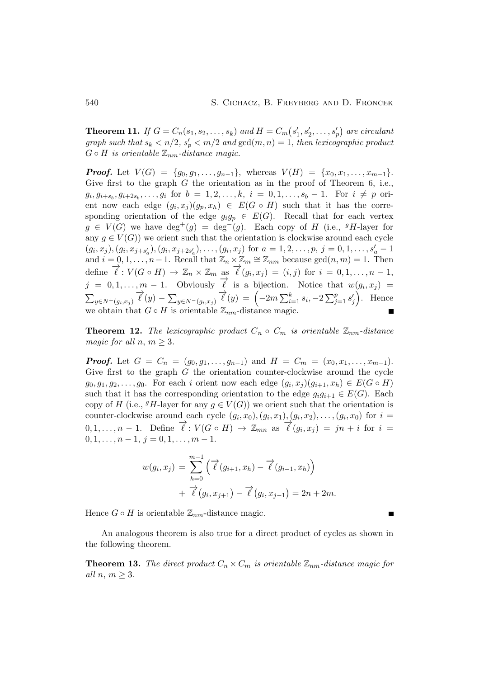**Theorem 11.** *If*  $G = C_n(s_1, s_2, \dots, s_k)$  *and*  $H = C_m(s'_1)$  $s'_1, s'_2, \ldots, s'_p$  are circulant *graph such that*  $s_k < n/2$ ,  $s'_p < m/2$  *and*  $gcd(m, n) = 1$ *, then lexicographic product*  $G \circ H$  *is orientable*  $\mathbb{Z}_{nm}$ -distance magic.

**Proof.** Let  $V(G) = \{g_0, g_1, \ldots, g_{n-1}\},\$  whereas  $V(H) = \{x_0, x_1, \ldots, x_{m-1}\}.$ Give first to the graph  $G$  the orientation as in the proof of Theorem 6, i.e.,  $g_i, g_{i+s_b}, g_{i+2s_b}, \ldots, g_i$  for  $b = 1, 2, \ldots, k, i = 0, 1, \ldots, s_b - 1$ . For  $i \neq p$  orient now each edge  $(g_i, x_j)(g_p, x_h) \in E(G \circ H)$  such that it has the corresponding orientation of the edge  $g_i g_p \in E(G)$ . Recall that for each vertex  $g \in V(G)$  we have  $\deg^+(g) = \deg^-(g)$ . Each copy of H (i.e., <sup>g</sup>H-layer for any  $g \in V(G)$ ) we orient such that the orientation is clockwise around each cycle  $(g_i, x_j), (g_i, x_{j+s'_a}), (g_i, x_{j+2s'_a}), \ldots, (g_i, x_j)$  for  $a = 1, 2, \ldots, p, j = 0, 1, \ldots, s'_a - 1$ and  $i = 0, 1, \ldots, n-1$ . Recall that  $\mathbb{Z}_n \times \mathbb{Z}_m \cong \mathbb{Z}_{nm}$  because  $gcd(n, m) = 1$ . Then define  $\overrightarrow{\ell}: V(G \circ H) \to \mathbb{Z}_n \times \mathbb{Z}_m$  as  $\overrightarrow{\ell}(g_i, x_j) = (i, j)$  for  $i = 0, 1, ..., n-1$ ,  $j = 0, 1, \ldots, m - 1$ . Obviously  $\overrightarrow{\ell}$  is a bijection. Notice that  $w(g_i, x_j) =$  $\sum_{y \in N^+(g_i, x_j)} \overrightarrow{\ell}(y) - \sum_{y \in N^-(g_i, x_j)} \overrightarrow{\ell}(y) \ = \ \Bigl(-2m \sum_{i=1}^k s_i, -2 \sum_{j=1}^p s_j' \Bigr)$  $\binom{1}{j}$ . Hence we obtain that  $G \circ H$  is orientable  $\mathbb{Z}_{nm}$ -distance magic.

**Theorem 12.** *The lexicographic product*  $C_n \circ C_m$  *is orientable*  $\mathbb{Z}_{nm}$ -distance *magic for all*  $n, m \geq 3$ .

**Proof.** Let  $G = C_n = (g_0, g_1, \ldots, g_{n-1})$  and  $H = C_m = (x_0, x_1, \ldots, x_{m-1})$ . Give first to the graph  $G$  the orientation counter-clockwise around the cycle  $g_0, g_1, g_2, \ldots, g_0$ . For each i orient now each edge  $(g_i, x_j)(g_{i+1}, x_h) \in E(G \circ H)$ such that it has the corresponding orientation to the edge  $q_iq_{i+1} \in E(G)$ . Each copy of H (i.e.,  $^gH$ -layer for any  $g \in V(G)$ ) we orient such that the orientation is counter-clockwise around each cycle  $(g_i, x_0), (g_i, x_1), (g_i, x_2), \ldots, (g_i, x_0)$  for  $i =$ 0, 1, . . . , n – 1. Define  $\overrightarrow{\ell}$  :  $V(G \circ H) \to \mathbb{Z}_{mn}$  as  $\overrightarrow{\ell}(g_i, x_j) = jn + i$  for  $i =$  $0, 1, \ldots, n-1, j = 0, 1, \ldots, m-1.$ 

$$
w(g_i, x_j) = \sum_{h=0}^{m-1} (\vec{\ell}(g_{i+1}, x_h) - \vec{\ell}(g_{i-1}, x_h)) + \vec{\ell}(g_i, x_{j+1}) - \vec{\ell}(g_i, x_{j-1}) = 2n + 2m.
$$

Hence  $G \circ H$  is orientable  $\mathbb{Z}_{nm}$ -distance magic.

An analogous theorem is also true for a direct product of cycles as shown in the following theorem.

**Theorem 13.** The direct product  $C_n \times C_m$  is orientable  $\mathbb{Z}_{nm}$ -distance magic for *all*  $n, m \geq 3$ *.*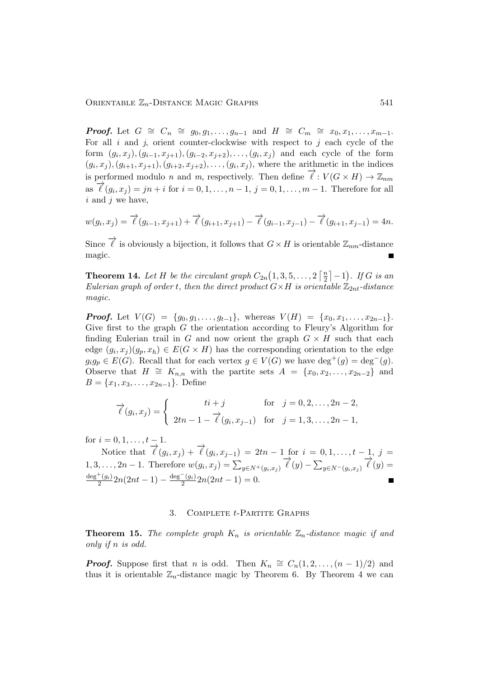**Proof.** Let  $G \cong C_n \cong g_0, g_1, \ldots, g_{n-1}$  and  $H \cong C_m \cong x_0, x_1, \ldots, x_{m-1}$ . For all  $i$  and  $j$ , orient counter-clockwise with respect to  $j$  each cycle of the form  $(g_i, x_j), (g_{i-1}, x_{j+1}), (g_{i-2}, x_{j+2}), \ldots, (g_i, x_j)$  and each cycle of the form  $(g_i, x_j), (g_{i+1}, x_{j+1}), (g_{i+2}, x_{j+2}), \ldots, (g_i, x_j)$ , where the arithmetic in the indices is performed modulo *n* and *m*, respectively. Then define  $\overrightarrow{\ell}: V(G \times H) \to \mathbb{Z}_{nm}$  $\vec{a}$   $\vec{c}$   $(g_i, x_j) = jn + i$  for  $i = 0, 1, ..., n - 1, j = 0, 1, ..., m - 1$ . Therefore for all *i* and *j* we have,

$$
w(g_i, x_j) = \overrightarrow{\ell}(g_{i-1}, x_{j+1}) + \overrightarrow{\ell}(g_{i+1}, x_{j+1}) - \overrightarrow{\ell}(g_{i-1}, x_{j-1}) - \overrightarrow{\ell}(g_{i+1}, x_{j-1}) = 4n.
$$

Since  $\overrightarrow{\ell}$  is obviously a bijection, it follows that  $G \times H$  is orientable  $\mathbb{Z}_{nm}$ -distance magic.

**Theorem 14.** Let H be the circulant graph  $C_{2n}(1,3,5,\ldots,2)$   $\left[\frac{n}{2}\right]$  $\frac{n}{2}$  $\vert$  -1). If G is an *Eulerian graph of order t, then the direct product*  $G \times H$  *is orientable*  $\mathbb{Z}_{2nt}$ -distance *magic.*

**Proof.** Let  $V(G) = \{g_0, g_1, \ldots, g_{t-1}\}\$ , whereas  $V(H) = \{x_0, x_1, \ldots, x_{2n-1}\}\$ . Give first to the graph  $G$  the orientation according to Fleury's Algorithm for finding Eulerian trail in G and now orient the graph  $G \times H$  such that each edge  $(g_i, x_j)(g_p, x_h) \in E(G \times H)$  has the corresponding orientation to the edge  $g_i g_p \in E(G)$ . Recall that for each vertex  $g \in V(G)$  we have  $\deg^+(g) = \deg^-(g)$ . Observe that  $H \cong K_{n,n}$  with the partite sets  $A = \{x_0, x_2, \ldots, x_{2n-2}\}\$  and  $B = \{x_1, x_3, \ldots, x_{2n-1}\}.$  Define

$$
\overrightarrow{\ell}(g_i, x_j) = \begin{cases}\n t i + j & \text{for } j = 0, 2, ..., 2n - 2, \\
 2tn - 1 - \overrightarrow{\ell}(g_i, x_{j-1}) & \text{for } j = 1, 3, ..., 2n - 1,\n\end{cases}
$$

for  $i = 0, 1, \ldots, t - 1$ .

Notice that  $\overrightarrow{\ell}(g_i, x_j) + \overrightarrow{\ell}(g_i, x_{j-1}) = 2tn - 1$  for  $i = 0, 1, ..., t - 1, j =$ 1, 3, ..., 2n – 1. Therefore  $w(g_i, x_j) = \sum_{y \in N^+(g_i, x_j)} \vec{\ell}(y) - \sum_{y \in N^-(g_i, x_j)} \vec{\ell}(y) =$  $\deg^+(g_i)$  $\frac{+(g_i)}{2}$ 2n(2nt – 1) –  $\frac{\deg^-(g_i)}{2}$  $\frac{g_{ij}}{2}$ 2 $n(2nt-1) = 0.$ 

### 3. Complete t-Partite Graphs

**Theorem 15.** The complete graph  $K_n$  is orientable  $\mathbb{Z}_n$ -distance magic if and *only if* n *is odd.*

**Proof.** Suppose first that n is odd. Then  $K_n \cong C_n(1, 2, \ldots, (n-1)/2)$  and thus it is orientable  $\mathbb{Z}_n$ -distance magic by Theorem 6. By Theorem 4 we can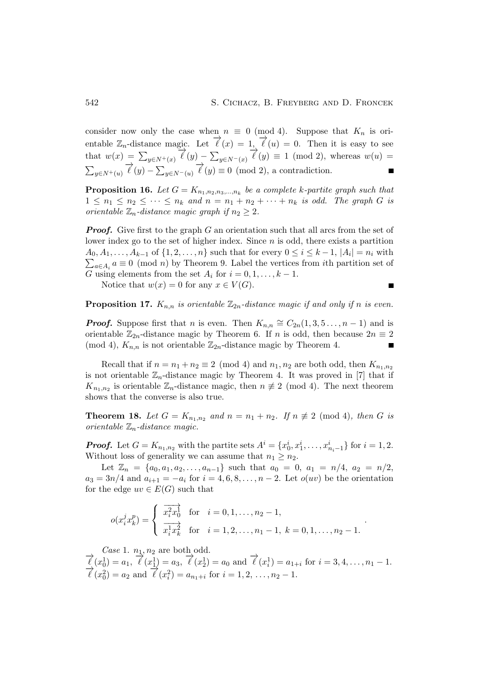consider now only the case when  $n \equiv 0 \pmod{4}$ . Suppose that  $K_n$  is orientable  $\mathbb{Z}_n$ -distance magic. Let  $\overrightarrow{\ell}(x) = 1, \overrightarrow{\ell}(u) = 0$ . Then it is easy to see that  $w(x) = \sum_{y \in N^+(x)} \overrightarrow{\ell}(y) - \sum_{y \in N^-(x)} \overrightarrow{\ell}(y) \equiv 1 \pmod{2}$ , whereas  $w(u) =$  $\sum_{y \in N^+(u)} \overrightarrow{\ell}(y) - \sum_{y \in N^-(u)} \overrightarrow{\ell}(y) \equiv 0 \pmod{2}$ , a contradiction.

**Proposition 16.** Let  $G = K_{n_1, n_2, n_3, \dots, n_k}$  be a complete k-partite graph such that  $1 \leq n_1 \leq n_2 \leq \cdots \leq n_k$  and  $n = n_1 + n_2 + \cdots + n_k$  *is odd. The graph* G *is orientable*  $\mathbb{Z}_n$ *-distance magic graph if*  $n_2 \geq 2$ *.* 

**Proof.** Give first to the graph G an orientation such that all arcs from the set of lower index go to the set of higher index. Since  $n$  is odd, there exists a partition  $A_0, A_1, \ldots, A_{k-1}$  of  $\{1, 2, \ldots, n\}$  such that for every  $0 \leq i \leq k-1$ ,  $|A_i| = n_i$  with  $\sum_{a \in A_i} a \equiv 0 \pmod{n}$  by Theorem 9. Label the vertices from *i*th partition set of G using elements from the set  $A_i$  for  $i = 0, 1, \ldots, k - 1$ .

Notice that  $w(x) = 0$  for any  $x \in V(G)$ .

$$
\qquad \qquad \blacksquare
$$

**Proposition 17.**  $K_{n,n}$  *is orientable*  $\mathbb{Z}_{2n}$ -distance magic if and only if n is even.

**Proof.** Suppose first that n is even. Then  $K_{n,n} \cong C_{2n}(1,3,5...,n-1)$  and is orientable  $\mathbb{Z}_{2n}$ -distance magic by Theorem 6. If n is odd, then because  $2n \equiv 2$ (mod 4),  $K_{n,n}$  is not orientable  $\mathbb{Z}_{2n}$ -distance magic by Theorem 4.  $\blacksquare$ 

Recall that if  $n = n_1 + n_2 \equiv 2 \pmod{4}$  and  $n_1, n_2$  are both odd, then  $K_{n_1,n_2}$ is not orientable  $\mathbb{Z}_n$ -distance magic by Theorem 4. It was proved in [7] that if  $K_{n_1,n_2}$  is orientable  $\mathbb{Z}_n$ -distance magic, then  $n \neq 2 \pmod{4}$ . The next theorem shows that the converse is also true.

**Theorem 18.** Let  $G = K_{n_1,n_2}$  and  $n = n_1 + n_2$ . If  $n \not\equiv 2 \pmod{4}$ , then G is *orientable* Zn*-distance magic.*

**Proof.** Let  $G = K_{n_1,n_2}$  with the partite sets  $A^i = \{x_0^i, x_1^i, \dots, x_{n_i-1}^i\}$  for  $i = 1, 2$ . Without loss of generality we can assume that  $n_1 \geq n_2$ .

Let  $\mathbb{Z}_n = \{a_0, a_1, a_2, \ldots, a_{n-1}\}\$  such that  $a_0 = 0, a_1 = n/4, a_2 = n/2,$  $a_3 = 3n/4$  and  $a_{i+1} = -a_i$  for  $i = 4, 6, 8, \ldots, n-2$ . Let  $o(uv)$  be the orientation for the edge  $uv \in E(G)$  such that

$$
o(x_i^j x_k^p) = \begin{cases} \frac{1}{x_i^2 x_0^j} & \text{for } i = 0, 1, ..., n_2 - 1, \\ \frac{1}{x_i^1 x_k^2} & \text{for } i = 1, 2, ..., n_1 - 1, k = 0, 1, ..., n_2 - 1. \end{cases}
$$

*Case* 1.  $n_1, n_2$  are both odd.

 $\vec{\ell}(x_0^1) = a_1, \vec{\ell}(x_1^1) = a_3, \vec{\ell}(x_2^1) = a_0 \text{ and } \vec{\ell}(x_i^1) = a_{1+i} \text{ for } i = 3, 4, ..., n_1 - 1.$  $\vec{l}(x_0^2) = a_2$  and  $\vec{l}(x_i^2) = a_{n_1+i}$  for  $i = 1, 2, ..., n_2 - 1$ .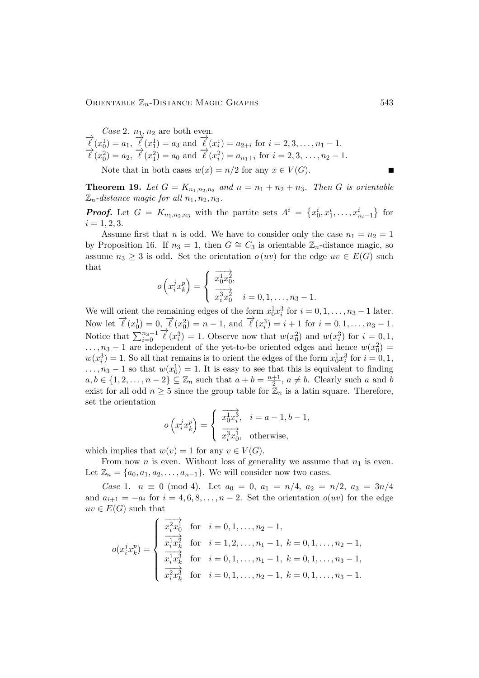*Case* 2.  $n_1$ ,  $n_2$  are both even.  $\vec{\ell}(x_0^1) = a_1, \vec{\ell}(x_1^1) = a_3$  and  $\vec{\ell}(x_i^1) = a_{2+i}$  for  $i = 2, 3, ..., n_1 - 1$ .  $\vec{\ell}(x_0^0) = a_2, \vec{\ell}(x_1^1) = a_0 \text{ and } \vec{\ell}(x_i^2) = a_{n_1+i} \text{ for } i = 2, 3, ..., n_2-1.$ 

Note that in both cases  $w(x) = n/2$  for any  $x \in V(G)$ .

**Theorem 19.** Let  $G = K_{n_1,n_2,n_3}$  and  $n = n_1 + n_2 + n_3$ . Then G is orientable  $\mathbb{Z}_n$ -distance magic for all  $n_1, n_2, n_3$ .

**Proof.** Let  $G = K_{n_1,n_2,n_3}$  with the partite sets  $A^i = \{x_0^i, x_1^i, \ldots, x_{n_i-1}^i\}$  for  $i = 1, 2, 3.$ 

Assume first that *n* is odd. We have to consider only the case  $n_1 = n_2 = 1$ by Proposition 16. If  $n_3 = 1$ , then  $G \cong C_3$  is orientable  $\mathbb{Z}_n$ -distance magic, so assume  $n_3 \geq 3$  is odd. Set the orientation  $o(uv)$  for the edge  $uv \in E(G)$  such that −−→

$$
o\left(x_i^j x_k^p\right) = \begin{cases} \frac{x_0^1 x_0^2}{x_0^3 x_0^2}, \\ \frac{x_0^3 x_0^2}{x_0^3 x_0^2}, \quad i = 0, 1, \dots, n_3 - 1. \end{cases}
$$

We will orient the remaining edges of the form  $x_0^1 x_i^3$  for  $i = 0, 1, \ldots, n_3 - 1$  later. Now let  $\vec{\ell}(x_0^1) = 0$ ,  $\vec{\ell}(x_0^2) = n - 1$ , and  $\vec{\ell}(x_i^3) = i + 1$  for  $i = 0, 1, ..., n_3 - 1$ . Notice that  $\sum_{i=0}^{n_3-1} \vec{\ell}(x_i^3) = 1$ . Observe now that  $w(x_0^2)$  and  $w(x_i^3)$  for  $i = 0, 1$ ,  $\ldots$ ,  $n_3 - 1$  are independent of the yet-to-be oriented edges and hence  $w(x_0^2) =$  $w(x_i^3) = 1$ . So all that remains is to orient the edges of the form  $x_0^1 x_i^3$  for  $i = 0, 1$ ,  $\dots, n_3-1$  so that  $w(x_0^1)=1$ . It is easy to see that this is equivalent to finding  $a, b \in \{1, 2, \ldots, n-2\} \subseteq \mathbb{Z}_n$  such that  $a + b = \frac{n+1}{2}$  $\frac{+1}{2}$ ,  $a \neq b$ . Clearly such a and b exist for all odd  $n \geq 5$  since the group table for  $\mathbb{Z}_n$  is a latin square. Therefore, set the orientation

$$
o\left(x_i^j x_k^p\right) = \begin{cases} \frac{1}{x_0^1 x_i^3}, & i = a - 1, b - 1, \\ \frac{1}{x_i^3 x_0^1}, & \text{otherwise,} \end{cases}
$$

which implies that  $w(v) = 1$  for any  $v \in V(G)$ .

From now *n* is even. Without loss of generality we assume that  $n_1$  is even. Let  $\mathbb{Z}_n = \{a_0, a_1, a_2, \ldots, a_{n-1}\}.$  We will consider now two cases.

*Case* 1.  $n \equiv 0 \pmod{4}$ . Let  $a_0 = 0$ ,  $a_1 = n/4$ ,  $a_2 = n/2$ ,  $a_3 = 3n/4$ and  $a_{i+1} = -a_i$  for  $i = 4, 6, 8, ..., n-2$ . Set the orientation  $o(uv)$  for the edge  $uv \in E(G)$  such that

$$
o(x_i^j x_k^p) = \begin{cases} \n\frac{x_i^2 x_0^1}{x_i^1 x_k^2} & \text{for } i = 0, 1, \dots, n_2 - 1, \\
\frac{x_i^1 x_k^2}{x_i^1 x_k^3} & \text{for } i = 1, 2, \dots, n_1 - 1, \ k = 0, 1, \dots, n_2 - 1, \\
\frac{x_i^1 x_k^3}{x_i^2 x_k^3} & \text{for } i = 0, 1, \dots, n_2 - 1, \ k = 0, 1, \dots, n_3 - 1.\n\end{cases}
$$

 $\blacksquare$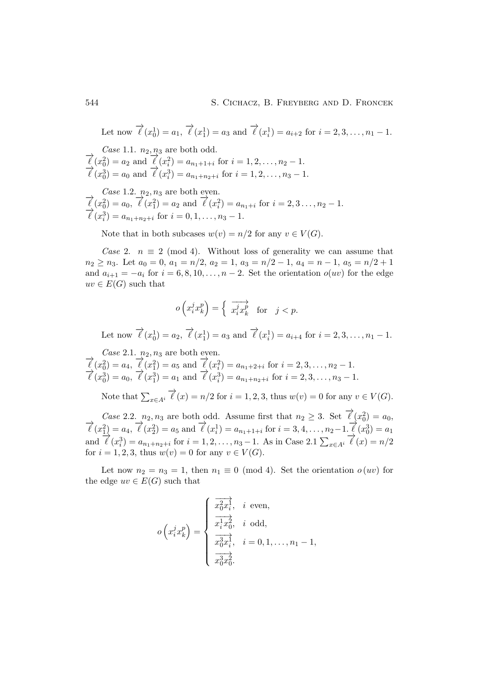Let now  $\vec{\ell}(x_0^1) = a_1, \vec{\ell}(x_1^1) = a_3$  and  $\vec{\ell}(x_i^1) = a_{i+2}$  for  $i = 2, 3, ..., n_1 - 1$ .

*Case* 1.1.  $n_2$ ,  $n_3$  are both odd.  $\vec{l}(x_0^2) = a_2$  and  $\vec{l}(x_i^2) = a_{n_1+1+i}$  for  $i = 1, 2, ..., n_2 - 1$ .  $\vec{l}(x_0^3) = a_0$  and  $\vec{l}(x_i^3) = a_{n_1+n_2+i}$  for  $i = 1, 2, ..., n_3 - 1$ .

*Case* 1.2.  $n_2$ ,  $n_3$  are both even.<br>  $\overrightarrow{\ell}(x_0^2) = a_0, \overrightarrow{\ell}(x_1^2) = a_2$  and  $\overrightarrow{\ell}(x_i^2) = a_{n_1+i}$  for  $i = 2, 3, ..., n_2 - 1$ .  $\vec{l}(x_i^3) = a_{n_1+n_2+i}$  for  $i = 0, 1, ..., n_3 - 1$ .

Note that in both subcases  $w(v) = n/2$  for any  $v \in V(G)$ .

*Case* 2.  $n \equiv 2 \pmod{4}$ . Without loss of generality we can assume that  $n_2 \ge n_3$ . Let  $a_0 = 0$ ,  $a_1 = n/2$ ,  $a_2 = 1$ ,  $a_3 = n/2 - 1$ ,  $a_4 = n - 1$ ,  $a_5 = n/2 + 1$ and  $a_{i+1} = -a_i$  for  $i = 6, 8, 10, \ldots, n-2$ . Set the orientation  $o(uv)$  for the edge  $uv \in E(G)$  such that

$$
o\left(x_i^j x_k^p\right) = \begin{cases} \overrightarrow{x_i^j x_k^p} & \text{for } j < p. \end{cases}
$$

Let now  $\vec{\ell}(x_0^1) = a_2$ ,  $\vec{\ell}(x_1^1) = a_3$  and  $\vec{\ell}(x_i^1) = a_{i+4}$  for  $i = 2, 3, ..., n_1 - 1$ .

*Case* 2.1.  $n_2$ ,  $n_3$  are both even.  $\vec{\ell}(x_0^2) = a_4, \vec{\ell}(x_1^2) = a_5$  and  $\vec{\ell}(x_i^2) = a_{n_1+2+i}$  for  $i = 2, 3, ..., n_2 - 1$ .  $\vec{\ell}(x_0^3) = a_0, \vec{\ell}(x_1^3) = a_1 \text{ and } \vec{\ell}(x_i^3) = a_{n_1+n_2+i} \text{ for } i = 2, 3, ..., n_3-1.$ 

Note that  $\sum_{x \in A^i} \overrightarrow{\ell}(x) = n/2$  for  $i = 1, 2, 3$ , thus  $w(v) = 0$  for any  $v \in V(G)$ .

*Case* 2.2.  $n_2, n_3$  are both odd. Assume first that  $n_2 \geq 3$ . Set  $\overrightarrow{\ell}(x_0^2) = a_0$ ,  $\vec{\ell}(x_1^2) = a_4, \vec{\ell}(x_2^2) = a_5 \text{ and } \vec{\ell}(x_i^1) = a_{n_1+1+i} \text{ for } i = 3, 4, ..., n_2-1. \vec{\ell}(x_0^3) = a_1$ and  $\vec{\ell}(x_i^3) = a_{n_1+n_2+i}$  for  $i = 1, 2, ..., n_3 - 1$ . As in Case 2.1  $\sum_{x \in A^i} \vec{\ell}(x) = n/2$ for  $i = 1, 2, 3$ , thus  $w(v) = 0$  for any  $v \in V(G)$ .

Let now  $n_2 = n_3 = 1$ , then  $n_1 \equiv 0 \pmod{4}$ . Set the orientation  $o(uv)$  for the edge  $uv \in E(G)$  such that

$$
o\left(x_i^j x_k^p\right) = \begin{cases} \frac{\overrightarrow{x_0^2 x_i^j}}, & i \text{ even,} \\ \frac{\overrightarrow{x_i^1 x_0^2}}, & i \text{ odd,} \\ \frac{\overrightarrow{x_0^3 x_i^j}}, & i = 0, 1, \dots, n_1 - 1, \\ \frac{\overrightarrow{x_0^3 x_0^2}}{x_0^3 x_0^2}. \end{cases}
$$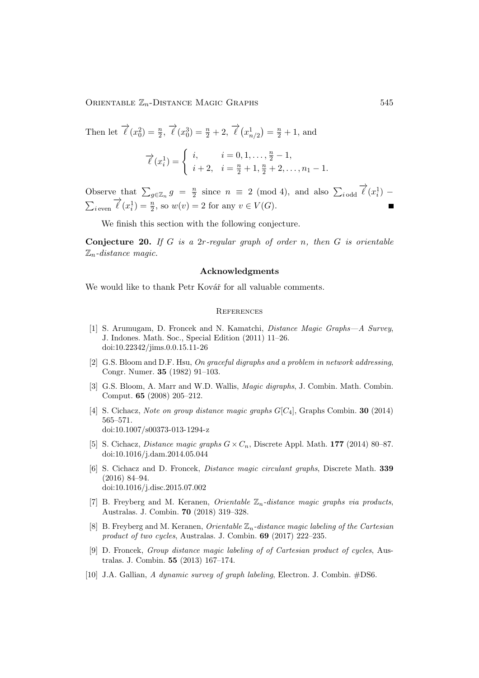ORIENTABLE  $\mathbb{Z}_n$ -DISTANCE MAGIC GRAPHS 545

Then let  $\vec{\ell}(x_0^2) = \frac{n}{2}, \vec{\ell}(x_0^3) = \frac{n}{2} + 2, \vec{\ell}(x_{n/2}^1) = \frac{n}{2} + 1$ , and

$$
\vec{\ell}(x_i^1) = \begin{cases} i, & i = 0, 1, \dots, \frac{n}{2} - 1, \\ i + 2, & i = \frac{n}{2} + 1, \frac{n}{2} + 2, \dots, n_1 - 1. \end{cases}
$$

Observe that  $\sum_{g \in \mathbb{Z}_n} g = \frac{n}{2}$  $\frac{n}{2}$  since  $n \equiv 2 \pmod{4}$ , and also  $\sum_{i \text{ odd}} \overrightarrow{\ell}(x_i)$  $\sum_{i \text{ even}} \overrightarrow{\ell}(x_i^1) = \frac{n}{2}$ , so  $w(v) = 2$  for any  $v \in V(G)$ .

We finish this section with the following conjecture.

Conjecture 20. *If* G *is a* 2r*-regular graph of order* n*, then* G *is orientable* Zn*-distance magic.*

# Acknowledgments

We would like to thank Petr Kovář for all valuable comments.

#### **REFERENCES**

- [1] S. Arumugam, D. Froncek and N. Kamatchi, *Distance Magic Graphs—A Survey*, J. Indones. Math. Soc., Special Edition (2011) 11–26. [doi:10.22342/jims.0.0.15.11-26](http://dx.doi.org/10.22342/jims.0.0.15.11-26)
- [2] G.S. Bloom and D.F. Hsu, *On graceful digraphs and a problem in network addressing*, Congr. Numer. 35 (1982) 91–103.
- [3] G.S. Bloom, A. Marr and W.D. Wallis, *Magic digraphs*, J. Combin. Math. Combin. Comput. 65 (2008) 205–212.
- [4] S. Cichacz, *Note on group distance magic graphs* G[C4], Graphs Combin. 30 (2014) 565–571. [doi:10.1007/s00373-013-1294-z](http://dx.doi.org/10.1007/s00373-013-1294-z)
- [5] S. Cichacz, *Distance magic graphs*  $G \times C_n$ , Discrete Appl. Math. 177 (2014) 80–87. [doi:10.1016/j.dam.2014.05.044](http://dx.doi.org/10.1016/j.dam.2014.05.044)
- [6] S. Cichacz and D. Froncek, *Distance magic circulant graphs*, Discrete Math. 339 (2016) 84–94. [doi:10.1016/j.disc.2015.07.002](http://dx.doi.org/10.1016/j.disc.2015.07.002)
- [7] B. Freyberg and M. Keranen, *Orientable* Zn*-distance magic graphs via products*, Australas. J. Combin. 70 (2018) 319–328.
- [8] B. Freyberg and M. Keranen, *Orientable* Zn*-distance magic labeling of the Cartesian product of two cycles*, Australas. J. Combin. 69 (2017) 222–235.
- [9] D. Froncek, *Group distance magic labeling of of Cartesian product of cycles*, Australas. J. Combin. 55 (2013) 167–174.
- [10] J.A. Gallian, *A dynamic survey of graph labeling*, Electron. J. Combin. #DS6.